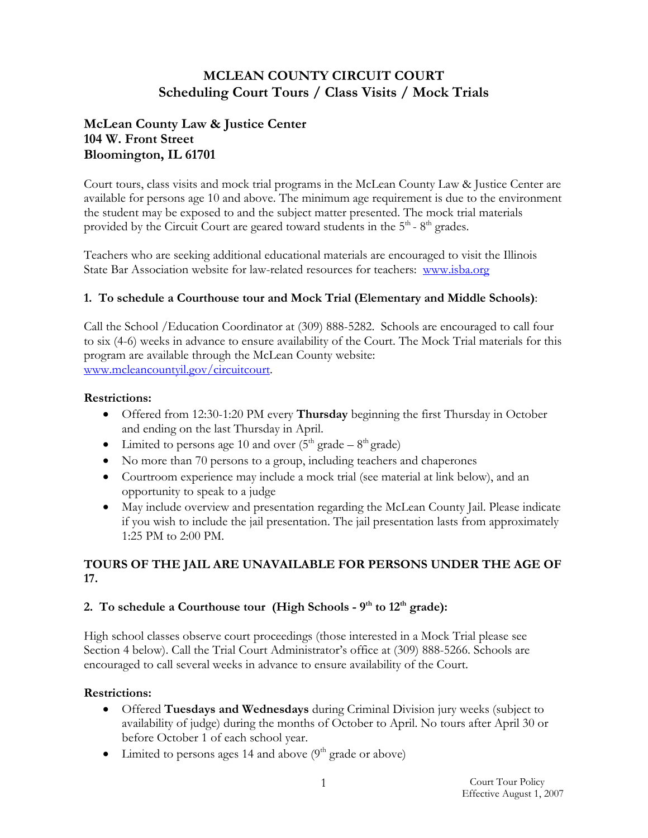# **MCLEAN COUNTY CIRCUIT COURT Scheduling Court Tours / Class Visits / Mock Trials**

# **McLean County Law & Justice Center 104 W. Front Street Bloomington, IL 61701**

Court tours, class visits and mock trial programs in the McLean County Law & Justice Center are available for persons age 10 and above. The minimum age requirement is due to the environment the student may be exposed to and the subject matter presented. The mock trial materials provided by the Circuit Court are geared toward students in the 5<sup>th</sup> - 8<sup>th</sup> grades.

Teachers who are seeking additional educational materials are encouraged to visit the Illinois State Bar Association website for law-related resources for teachers: www.isba.org

#### **1. To schedule a Courthouse tour and Mock Trial (Elementary and Middle Schools)**:

Call the School /Education Coordinator at (309) 888-5282. Schools are encouraged to call four to six (4-6) weeks in advance to ensure availability of the Court. The Mock Trial materials for this program are available through the McLean County website: www.mcleancountyil.gov/circuitcourt.

#### **Restrictions:**

- Offered from 12:30-1:20 PM every **Thursday** beginning the first Thursday in October and ending on the last Thursday in April.
- Limited to persons age 10 and over  $(5<sup>th</sup> grade 8<sup>th</sup> grade)$
- No more than 70 persons to a group, including teachers and chaperones
- Courtroom experience may include a mock trial (see material at link below), and an opportunity to speak to a judge
- May include overview and presentation regarding the McLean County Jail. Please indicate if you wish to include the jail presentation. The jail presentation lasts from approximately 1:25 PM to 2:00 PM.

# **TOURS OF THE JAIL ARE UNAVAILABLE FOR PERSONS UNDER THE AGE OF 17.**

### 2. To schedule a Courthouse tour (High Schools -  $9<sup>th</sup>$  to  $12<sup>th</sup>$  grade):

High school classes observe court proceedings (those interested in a Mock Trial please see Section 4 below). Call the Trial Court Administrator's office at (309) 888-5266. Schools are encouraged to call several weeks in advance to ensure availability of the Court.

### **Restrictions:**

- Offered **Tuesdays and Wednesdays** during Criminal Division jury weeks (subject to availability of judge) during the months of October to April. No tours after April 30 or before October 1 of each school year.
- Limited to persons ages 14 and above  $(9<sup>th</sup> \text{ grade or above})$